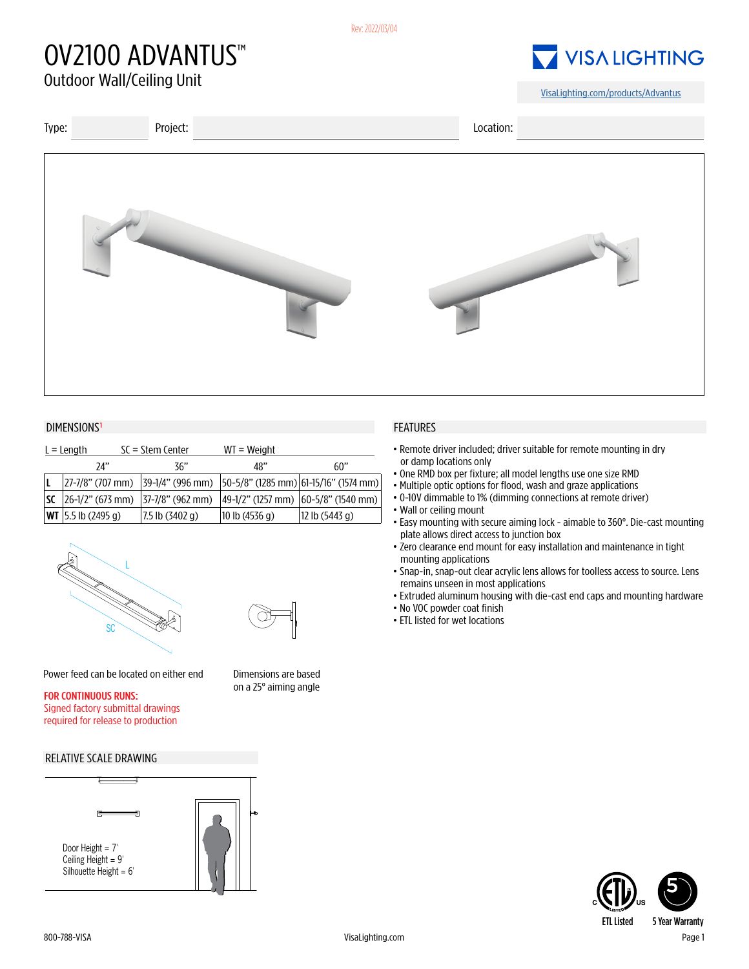# OV2100 ADVANTUS™

## **VISALIGHTING**

[VisaLighting.com/products/A](https://visalighting.com/products/advantus)dvantus



### DIMENSIONS<sup>1</sup> FEATURES

| $L =$ Length |                                         | $SC = Stem$ Center | $WT = Weight$  |                                                                                         |
|--------------|-----------------------------------------|--------------------|----------------|-----------------------------------------------------------------------------------------|
|              | 74"                                     | 36"                | 48"            | 60"                                                                                     |
|              |                                         |                    |                | $ 27-7/8"$ (707 mm) $ 39-1/4"$ (996 mm) $ 50-5/8"$ (1285 mm) $ 61-15/16"$ (1574 mm) $ $ |
|              | $ 26-1/2"$ (673 mm) $ 37-7/8"$ (962 mm) |                    |                | 49-1/2" (1257 mm)  60-5/8" (1540 mm)                                                    |
|              | <b>WT</b> $ 5.5$ lb (2495 g)            | 7.5 lb (3402 g)    | 10 lb (4536 g) | 12 lb (5443 g)                                                                          |





Power feed can be located on either end Dimensions are based

on a 25° aiming angle FOR CONTINUOUS RUNS:

#### Signed factory submittal drawings required for release to production

### RELATIVE SCALE DRAWING



- •Remote driver included; driver suitable for remote mounting in dry or damp locations only
- One RMD box per fixture; all model lengths use one size RMD
- Multiple optic options for flood, wash and graze applications
- •0-10V dimmable to 1% (dimming connections at remote driver)
- Wall or ceiling mount
- Easy mounting with secure aiming lock aimable to 360°. Die-cast mounting plate allows direct access to junction box
- •Zero clearance end mount for easy installation and maintenance in tight mounting applications
- Snap-in, snap-out clear acrylic lens allows for toolless access to source. Lens remains unseen in most applications
- Extruded aluminum housing with die-cast end caps and mounting hardware
- No VOC powder coat finish
- ETL listed for wet locations

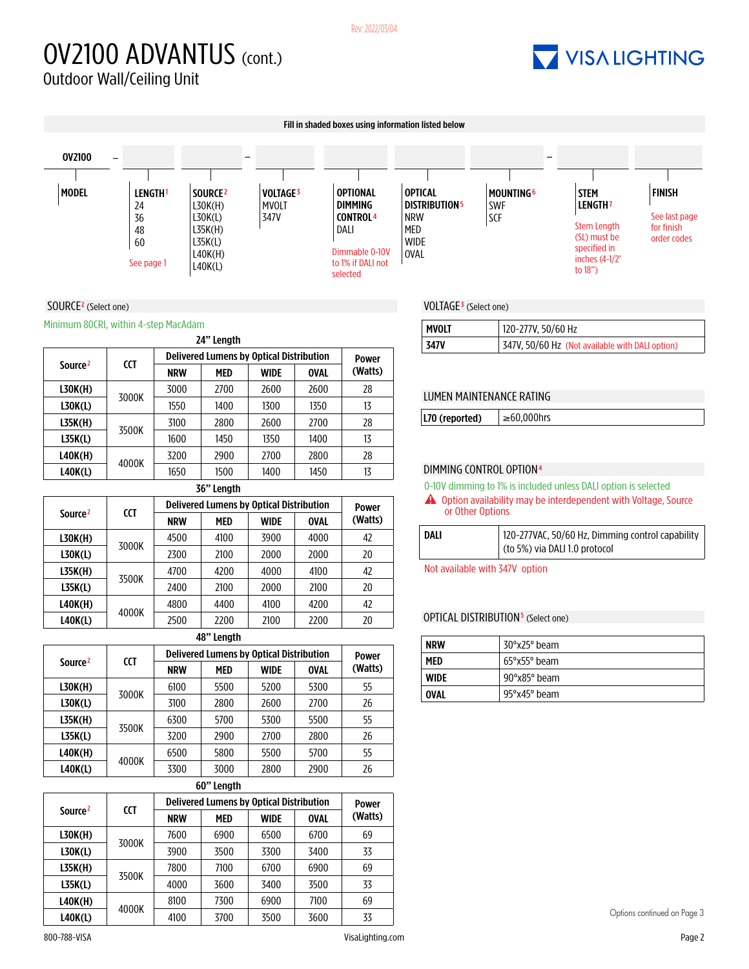#### Rev: 2022/03/04

# OV2100 ADVANTUS (cont.)

## **7 VISA LIGHTING**



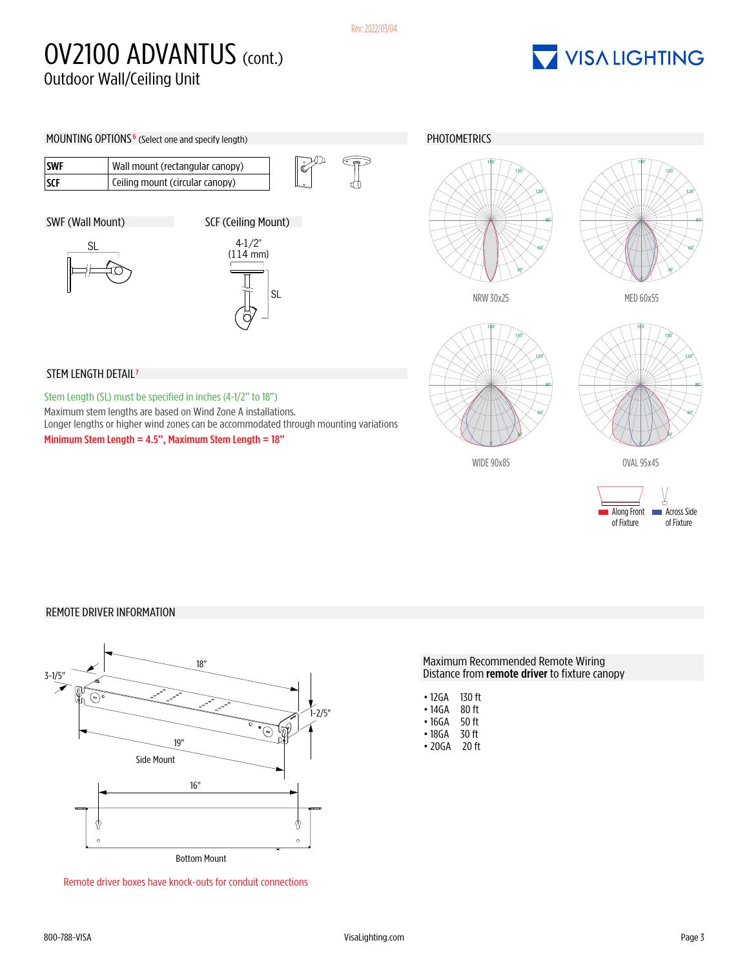### OV2100 ADVANTUS (CONT.) Outdoor Wall/Ceiling Unit

## VISA LIGHTING



### REMOTE DRIVER INFORMATION



Remote driver boxes have knock-outs for conduit connections

#### Maximum Recommended Remote Wiring Distance from **remote driver** to fixture canopy

| • 12GA | 130 ft |
|--------|--------|
| • 14GA | 80 ft  |
| • 16GA | 50 ft  |
| • 18GA | 30 ff  |
| • 20GA | 20 ft  |